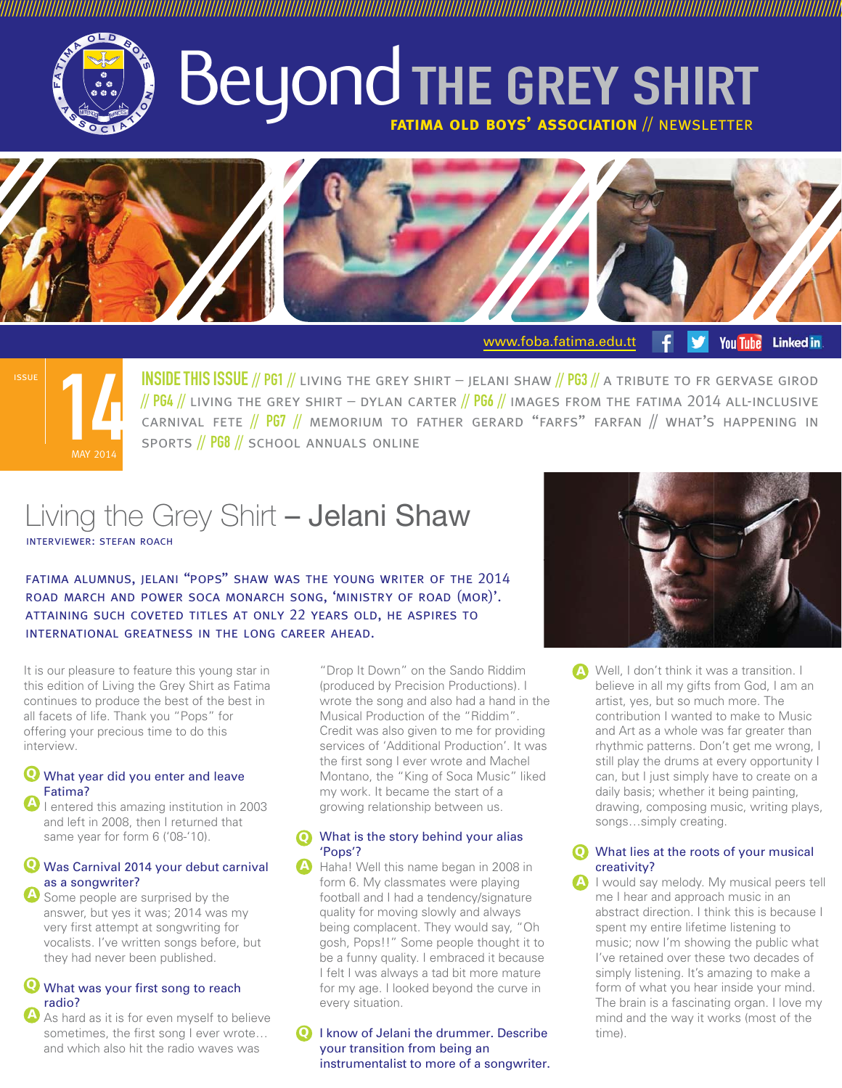

# Beyond THE GREY SHIRT **fatima old boys' association** // newsletter

///////////////////////////////////////////////////////////////////////////////////////////////////////////////////////////////////////////////////////////////////////////////////////////////////////////////////////////////



<www.foba.fatima.edu.tt> **You Tube Linked** in



INSIDE THIS ISSUE // PG1 // living the grey shirt – jelani shaw // PG3 // a tribute to fr gervase girod // PG4 // LIVING THE GREY SHIRT – DYLAN CARTER // PG6 // IMAGES FROM THE FATIMA 2014 ALL-INCLUSIVE CARNIVAL FETE  $//$  PG7  $//$  memorium to father gerard "farfs" farfan  $//$  what's happening in sports // PG8 // school annuals online

## Living the Grey Shirt - Jelani Shaw interviewer: stefan roach

fatima alumnus, jelani "pops" shaw was the young writer of the 2014 road march and power soca monarch song, 'ministry of road (mor)'. attaining such coveted titles at only 22 years old, he aspires to international greatness in the long career ahead.

It is our pleasure to feature this young star in this edition of Living the Grey Shirt as Fatima continues to produce the best of the best in all facets of life. Thank you "Pops" for offering your precious time to do this interview.

## What year did you enter and leave **Q** Fatima?

**A** I entered this amazing institution in 2003 and left in 2008, then I returned that same year for form 6 ('08-'10).

### Was Carnival 2014 your debut carnival **Q** as a songwriter? **A**

 Some people are surprised by the answer, but yes it was; 2014 was my very first attempt at songwriting for vocalists. I've written songs before, but they had never been published.

## What was your first song to reach **Q** radio?

 As hard as it is for even myself to believe sometimes, the first song I ever wrote... and which also hit the radio waves was **A**

 "Drop It Down" on the Sando Riddim (produced by Precision Productions). I wrote the song and also had a hand in the Musical Production of the "Riddim". Credit was also given to me for providing services of 'Additional Production'. It was the first song I ever wrote and Machel Montano, the "King of Soca Music" liked my work. It became the start of a growing relationship between us.

### What is the story behind your alias **Q** 'Pops'?

A Haha! Well this name began in 2008 in form 6. My classmates were playing football and I had a tendency/signature quality for moving slowly and always being complacent. They would say, "Oh gosh, Pops!!" Some people thought it to be a funny quality. I embraced it because I felt I was always a tad bit more mature for my age. I looked beyond the curve in every situation.

**Q** I know of Jelani the drummer. Describe your transition from being an instrumentalist to more of a songwriter.



 Well, I don't think it was a transition. I **A** believe in all my gifts from God, I am an artist, yes, but so much more. The contribution I wanted to make to Music and Art as a whole was far greater than rhythmic patterns. Don't get me wrong, I still play the drums at every opportunity I can, but I just simply have to create on a daily basis; whether it being painting, drawing, composing music, writing plays, songs…simply creating.

## What lies at the roots of your musical **Q** creativity?

 I would say melody. My musical peers tell me I hear and approach music in an abstract direction. I think this is because I spent my entire lifetime listening to music; now I'm showing the public what I've retained over these two decades of simply listening. It's amazing to make a form of what you hear inside your mind. The brain is a fascinating organ. I love my mind and the way it works (most of the time). **A**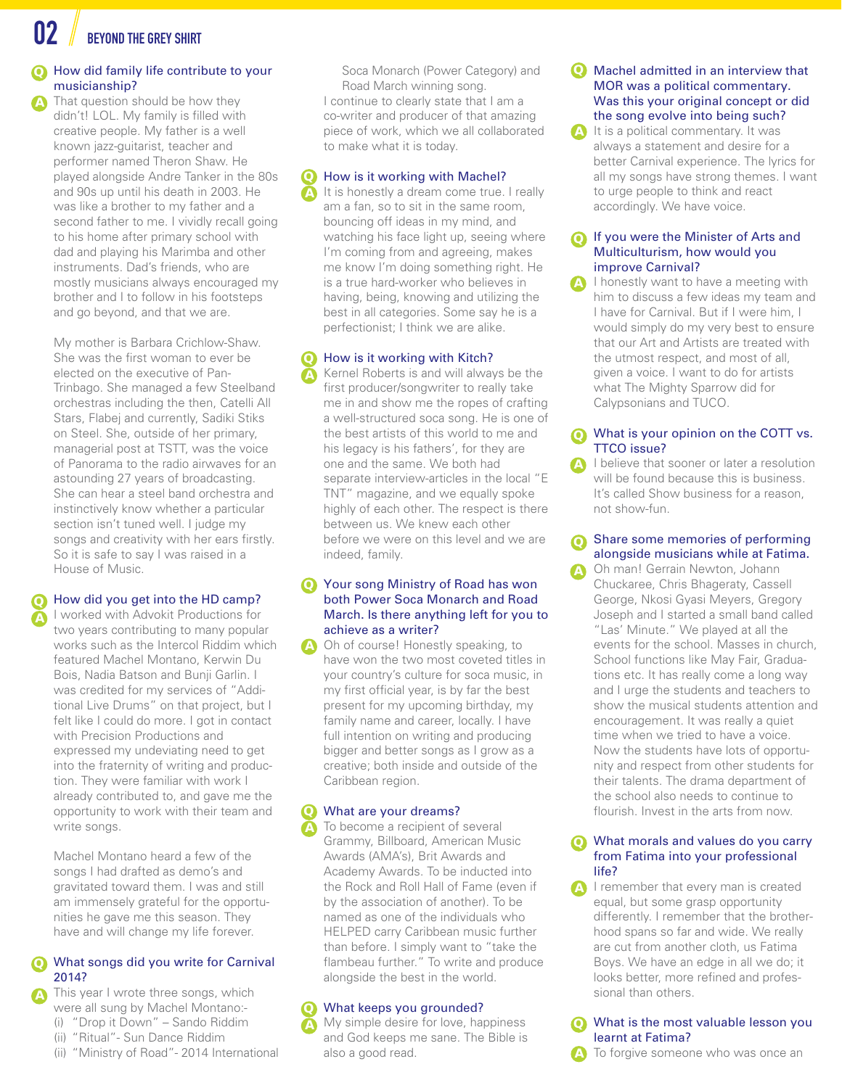BEYOND THE GREY SHIRT

**A**

**A**

**A**

## How did family life contribute to your **Q** musicianship?

 That question should be how they didn't! LOL. My family is filled with creative people. My father is a well known jazz-guitarist, teacher and performer named Theron Shaw. He played alongside Andre Tanker in the 80s and 90s up until his death in 2003. He was like a brother to my father and a second father to me. I vividly recall going to his home after primary school with dad and playing his Marimba and other instruments. Dad's friends, who are mostly musicians always encouraged my brother and I to follow in his footsteps and go beyond, and that we are.

 My mother is Barbara Crichlow-Shaw. She was the first woman to ever be elected on the executive of Pan-Trinbago. She managed a few Steelband orchestras including the then, Catelli All Stars, Flabej and currently, Sadiki Stiks on Steel. She, outside of her primary, managerial post at TSTT, was the voice of Panorama to the radio airwaves for an astounding 27 years of broadcasting. She can hear a steel band orchestra and instinctively know whether a particular section isn't tuned well. I judge my songs and creativity with her ears firstly. So it is safe to say I was raised in a House of Music.

## How did you get into the HD camp? **Q**

 I worked with Advokit Productions for two years contributing to many popular works such as the Intercol Riddim which featured Machel Montano, Kerwin Du Bois, Nadia Batson and Bunji Garlin. I was credited for my services of "Additional Live Drums" on that project, but I felt like I could do more. I got in contact with Precision Productions and expressed my undeviating need to get into the fraternity of writing and production. They were familiar with work I already contributed to, and gave me the opportunity to work with their team and write songs.

 Machel Montano heard a few of the songs I had drafted as demo's and gravitated toward them. I was and still am immensely grateful for the opportunities he gave me this season. They have and will change my life forever.

## What songs did you write for Carnival **Q** 2014?

- This year I wrote three songs, which were all sung by Machel Montano:-
- (i) "Drop it Down" Sando Riddim
- (ii) "Ritual"- Sun Dance Riddim
- (ii) "Ministry of Road"- 2014 International

Soca Monarch (Power Category) and Road March winning song. I continue to clearly state that I am a co-writer and producer of that amazing piece of work, which we all collaborated to make what it is today.

#### How is it working with Machel? **Q**

It is honestly a dream come true. I really am a fan, so to sit in the same room, bouncing off ideas in my mind, and watching his face light up, seeing where I'm coming from and agreeing, makes me know I'm doing something right. He is a true hard-worker who believes in having, being, knowing and utilizing the best in all categories. Some say he is a perfectionist; I think we are alike.

#### How is it working with Kitch? **Q**

**A**

**A**

 Kernel Roberts is and will always be the first producer/songwriter to really take me in and show me the ropes of crafting a well-structured soca song. He is one of the best artists of this world to me and his legacy is his fathers', for they are one and the same. We both had separate interview-articles in the local "E TNT" magazine, and we equally spoke highly of each other. The respect is there between us. We knew each other before we were on this level and we are indeed, family.

#### Your song Ministry of Road has won both Power Soca Monarch and Road March. Is there anything left for you to achieve as a writer? **Q**

 Oh of course! Honestly speaking, to have won the two most coveted titles in your country's culture for soca music, in my first official year, is by far the best present for my upcoming birthday, my family name and career, locally. I have full intention on writing and producing bigger and better songs as I grow as a creative; both inside and outside of the Caribbean region. **A**

#### What are your dreams? **Q**

**A**

 To become a recipient of several Grammy, Billboard, American Music Awards (AMA's), Brit Awards and Academy Awards. To be inducted into the Rock and Roll Hall of Fame (even if by the association of another). To be named as one of the individuals who HELPED carry Caribbean music further than before. I simply want to "take the flambeau further." To write and produce alongside the best in the world.

#### What keeps you grounded? **Q**

 My simple desire for love, happiness and God keeps me sane. The Bible is also a good read. **A**

#### Machel admitted in an interview that MOR was a political commentary. Was this your original concept or did the song evolve into being such? **Q**

It is a political commentary. It was always a statement and desire for a better Carnival experience. The lyrics for all my songs have strong themes. I want to urge people to think and react accordingly. We have voice. **A**

#### If you were the Minister of Arts and Multiculturism, how would you improve Carnival? **Q**

 I honestly want to have a meeting with him to discuss a few ideas my team and I have for Carnival. But if I were him, I would simply do my very best to ensure that our Art and Artists are treated with the utmost respect, and most of all, given a voice. I want to do for artists what The Mighty Sparrow did for Calypsonians and TUCO. **A**

#### What is your opinion on the COTT vs. TTCO issue? **Q**

 I believe that sooner or later a resolution will be found because this is business. It's called Show business for a reason, not show-fun. **A**

#### Share some memories of performing alongside musicians while at Fatima. **Q**

 Oh man! Gerrain Newton, Johann Chuckaree, Chris Bhageraty, Cassell George, Nkosi Gyasi Meyers, Gregory Joseph and I started a small band called "Las' Minute." We played at all the events for the school. Masses in church, School functions like May Fair, Graduations etc. It has really come a long way and I urge the students and teachers to show the musical students attention and encouragement. It was really a quiet time when we tried to have a voice. Now the students have lots of opportunity and respect from other students for their talents. The drama department of the school also needs to continue to flourish. Invest in the arts from now.

#### What morals and values do you carry from Fatima into your professional life? **Q**

A I remember that every man is created equal, but some grasp opportunity differently. I remember that the brotherhood spans so far and wide. We really are cut from another cloth, us Fatima Boys. We have an edge in all we do; it looks better, more refined and professional than others.

 What is the most valuable lesson you learnt at Fatima? To forgive someone who was once an **Q**

**A**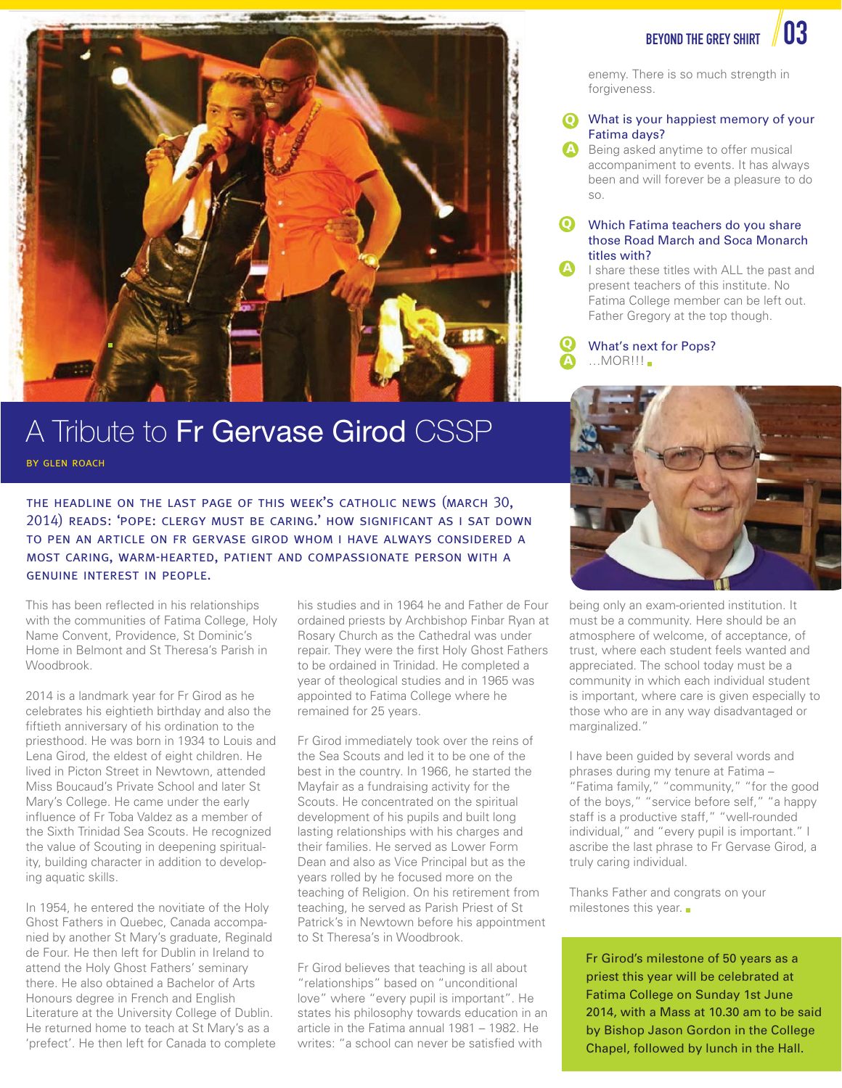

## BEYOND THE GREY SHIRT  $\parallel$  03

enemy. There is so much strength in forgiveness.

### What is your happiest memory of your **Q** Fatima days?

**A** Being asked anytime to offer musical accompaniment to events. It has always been and will forever be a pleasure to do so.

#### Which Fatima teachers do you share those Road March and Soca Monarch titles with? **Q**

 I share these titles with ALL the past and present teachers of this institute. No Fatima College member can be left out. Father Gregory at the top though. **A**



## A Tribute to Fr Gervase Girod CSSP

by glen roach

the headline on the last page of this week's catholic news (march 30, 2014) reads: 'pope: clergy must be caring.' how significant as i sat down to pen an article on fr gervase girod whom i have always considered a most caring, warm-hearted, patient and compassionate person with a genuine interest in people.

This has been reflected in his relationships with the communities of Fatima College, Holy Name Convent, Providence, St Dominic's Home in Belmont and St Theresa's Parish in Woodbrook.

2014 is a landmark year for Fr Girod as he celebrates his eightieth birthday and also the fiftieth anniversary of his ordination to the priesthood. He was born in 1934 to Louis and Lena Girod, the eldest of eight children. He lived in Picton Street in Newtown, attended Miss Boucaud's Private School and later St Mary's College. He came under the early influence of Fr Toba Valdez as a member of the Sixth Trinidad Sea Scouts. He recognized the value of Scouting in deepening spirituality, building character in addition to developing aquatic skills.

In 1954, he entered the novitiate of the Holy Ghost Fathers in Quebec, Canada accompanied by another St Mary's graduate, Reginald de Four. He then left for Dublin in Ireland to attend the Holy Ghost Fathers' seminary there. He also obtained a Bachelor of Arts Honours degree in French and English Literature at the University College of Dublin. He returned home to teach at St Mary's as a 'prefect'. He then left for Canada to complete

his studies and in 1964 he and Father de Four ordained priests by Archbishop Finbar Ryan at Rosary Church as the Cathedral was under repair. They were the first Holy Ghost Fathers to be ordained in Trinidad. He completed a year of theological studies and in 1965 was appointed to Fatima College where he remained for 25 years.

Fr Girod immediately took over the reins of the Sea Scouts and led it to be one of the best in the country. In 1966, he started the Mayfair as a fundraising activity for the Scouts. He concentrated on the spiritual development of his pupils and built long lasting relationships with his charges and their families. He served as Lower Form Dean and also as Vice Principal but as the years rolled by he focused more on the teaching of Religion. On his retirement from teaching, he served as Parish Priest of St Patrick's in Newtown before his appointment to St Theresa's in Woodbrook.

Fr Girod believes that teaching is all about "relationships" based on "unconditional love" where "every pupil is important". He states his philosophy towards education in an article in the Fatima annual 1981 – 1982. He writes: "a school can never be satisfied with



being only an exam-oriented institution. It must be a community. Here should be an atmosphere of welcome, of acceptance, of trust, where each student feels wanted and appreciated. The school today must be a community in which each individual student is important, where care is given especially to those who are in any way disadvantaged or marginalized."

I have been guided by several words and phrases during my tenure at Fatima – "Fatima family," "community," "for the good of the boys," "service before self," "a happy staff is a productive staff," "well-rounded individual," and "every pupil is important." I ascribe the last phrase to Fr Gervase Girod, a truly caring individual.

Thanks Father and congrats on your milestones this year.

Fr Girod's milestone of 50 years as a priest this year will be celebrated at Fatima College on Sunday 1st June 2014, with a Mass at 10.30 am to be said by Bishop Jason Gordon in the College Chapel, followed by lunch in the Hall.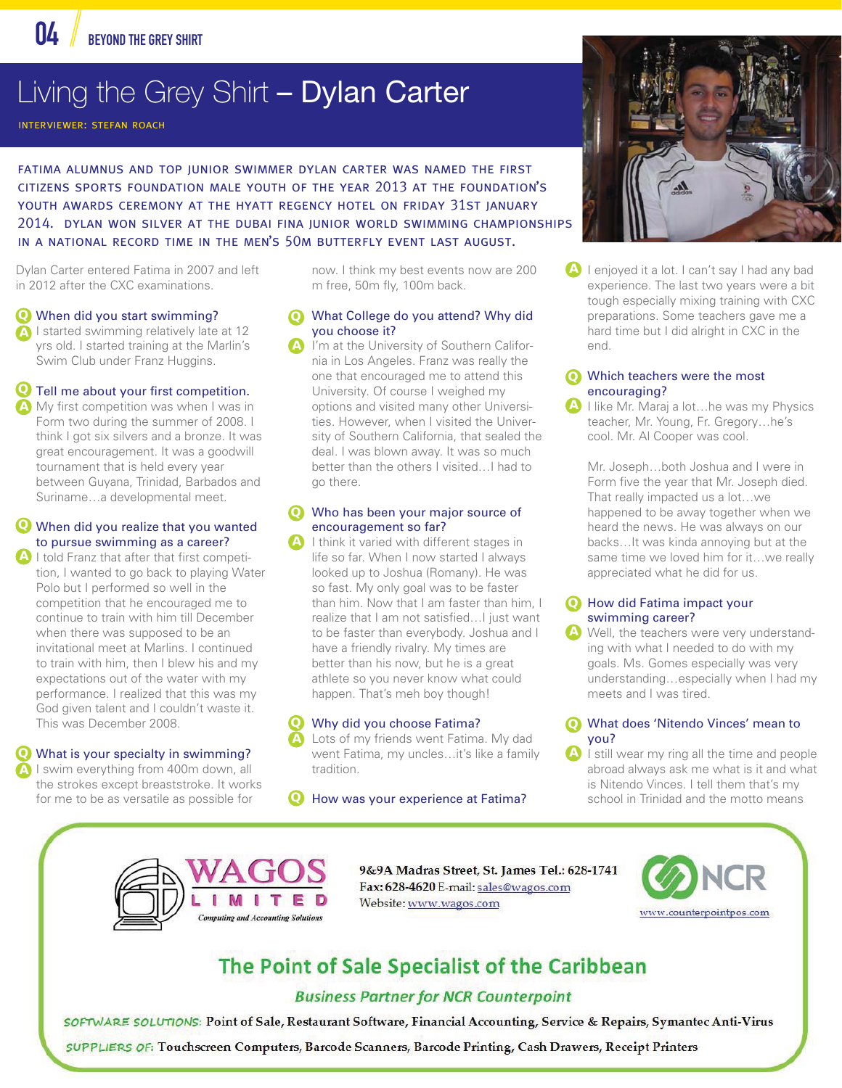

## Living the Grey Shirt - Dylan Carter

interviewer: stefan roach

fatima alumnus and top junior swimmer dylan carter was named the first citizens sports foundation male youth of the year 2013 at the foundation's youth awards ceremony at the hyatt regency hotel on friday 31st january 2014. dylan won silver at the dubai fina junior world swimming championships in a national record time in the men's 50m butterfly event last august.

Dylan Carter entered Fatima in 2007 and left in 2012 after the CXC examinations.

- When did you start swimming? **Q**
- **A** I started swimming relatively late at 12 yrs old. I started training at the Marlin's Swim Club under Franz Huggins.

## Tell me about your first competition. **Q**

**A** My first competition was when I was in Form two during the summer of 2008. I think I got six silvers and a bronze. It was great encouragement. It was a goodwill tournament that is held every year between Guyana, Trinidad, Barbados and Suriname…a developmental meet.

## When did you realize that you wanted **Q** to pursue swimming as a career?

**A** I told Franz that after that first competition, I wanted to go back to playing Water Polo but I performed so well in the competition that he encouraged me to continue to train with him till December when there was supposed to be an invitational meet at Marlins. I continued to train with him, then I blew his and my expectations out of the water with my performance. I realized that this was my God given talent and I couldn't waste it. This was December 2008.

## What is your specialty in swimming? **Q**

**A** I swim everything from 400m down, all the strokes except breaststroke. It works for me to be as versatile as possible for

now. I think my best events now are 200 m free, 50m fly, 100m back.

#### What College do you attend? Why did you choose it? **Q**

 I'm at the University of Southern California in Los Angeles. Franz was really the one that encouraged me to attend this University. Of course I weighed my options and visited many other Universities. However, when I visited the University of Southern California, that sealed the deal. I was blown away. It was so much better than the others I visited…I had to go there. **A**

#### Who has been your major source of encouragement so far? **Q**

 I think it varied with different stages in life so far. When I now started I always looked up to Joshua (Romany). He was so fast. My only goal was to be faster than him. Now that I am faster than him, I realize that I am not satisfied…I just want to be faster than everybody. Joshua and I have a friendly rivalry. My times are better than his now, but he is a great athlete so you never know what could happen. That's meh boy though! **A**

#### Why did you choose Fatima? **Q**

**A**

 Lots of my friends went Fatima. My dad went Fatima, my uncles…it's like a family tradition.

**Q** How was your experience at Fatima?



**A** I enjoyed it a lot. I can't say I had any bad experience. The last two years were a bit tough especially mixing training with CXC preparations. Some teachers gave me a hard time but I did alright in CXC in the end.

#### Which teachers were the most encouraging? **Q**

 I like Mr. Maraj a lot…he was my Physics teacher, Mr. Young, Fr. Gregory…he's cool. Mr. Al Cooper was cool. **A**

 Mr. Joseph…both Joshua and I were in Form five the year that Mr. Joseph died. That really impacted us a lot…we happened to be away together when we heard the news. He was always on our backs…It was kinda annoying but at the same time we loved him for it…we really appreciated what he did for us.

### **Q** How did Fatima impact your swimming career?

 Well, the teachers were very understand-**A** ing with what I needed to do with my goals. Ms. Gomes especially was very understanding…especially when I had my meets and I was tired.

### What does 'Nitendo Vinces' mean to **Q** you?

**A** I still wear my ring all the time and people abroad always ask me what is it and what is Nitendo Vinces. I tell them that's my school in Trinidad and the motto means



9&9A Madras Street, St. James Tel.: 628-1741 Fax: 628-4620 E-mail: sales@wagos.com Website: www.wagos.com



## The Point of Sale Specialist of the Caribbean

## **Business Partner for NCR Counterpoint**

SOFTWARE SOLUTIONS: Point of Sale, Restaurant Software, Financial Accounting, Service & Repairs, Symantec Anti-Virus

SUPPLIERS OF: Touchscreen Computers, Barcode Scanners, Barcode Printing, Cash Drawers, Receipt Printers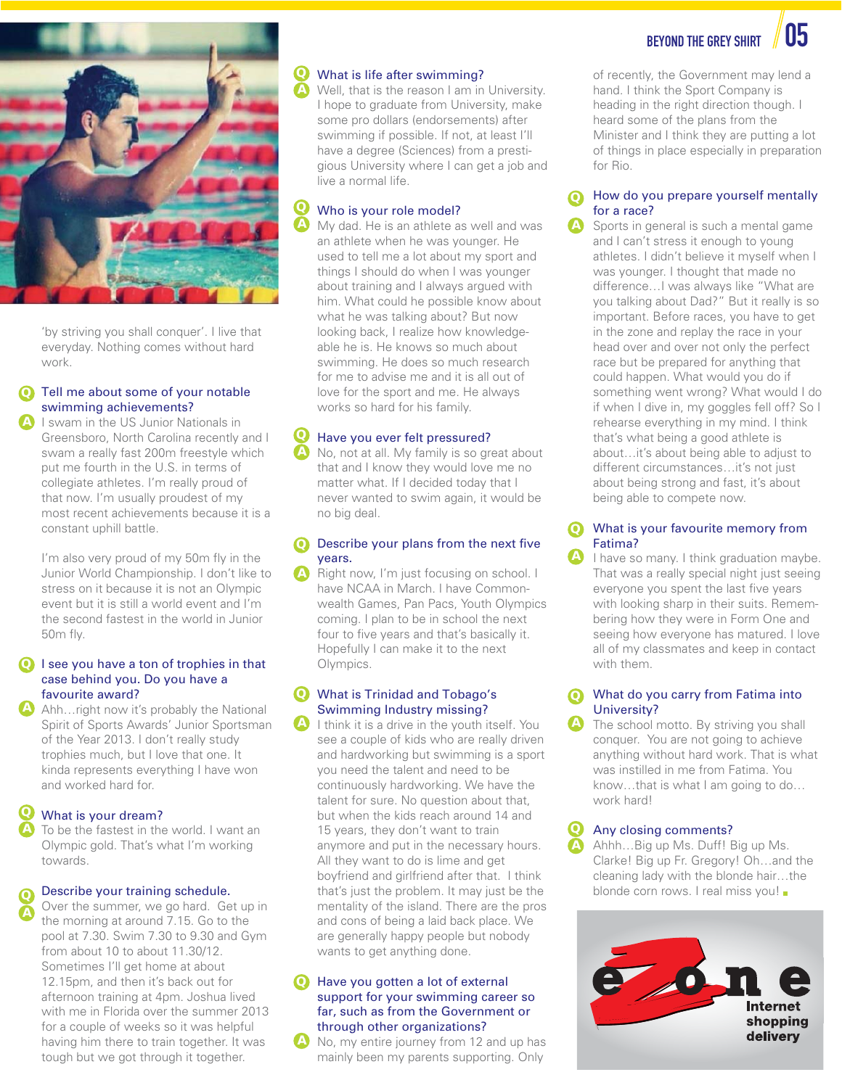



 'by striving you shall conquer'. I live that everyday. Nothing comes without hard work.

#### Tell me about some of your notable swimming achievements? **Q A**

 I swam in the US Junior Nationals in Greensboro, North Carolina recently and I swam a really fast 200m freestyle which put me fourth in the U.S. in terms of collegiate athletes. I'm really proud of that now. I'm usually proudest of my most recent achievements because it is a constant uphill battle.

 I'm also very proud of my 50m fly in the Junior World Championship. I don't like to stress on it because it is not an Olympic event but it is still a world event and I'm the second fastest in the world in Junior 50m fly.

### **Q** I see you have a ton of trophies in that case behind you. Do you have a favourite award?

 Ahh…right now it's probably the National Spirit of Sports Awards' Junior Sportsman of the Year 2013. I don't really study trophies much, but I love that one. It kinda represents everything I have won and worked hard for. **A**

#### What is your dream? **Q**

 To be the fastest in the world. I want an Olympic gold. That's what I'm working towards. **A**

#### Describe your training schedule. **Q**

 Over the summer, we go hard. Get up in the morning at around 7.15. Go to the pool at 7.30. Swim 7.30 to 9.30 and Gym from about 10 to about 11.30/12. Sometimes I'll get home at about 12.15pm, and then it's back out for afternoon training at 4pm. Joshua lived with me in Florida over the summer 2013 for a couple of weeks so it was helpful having him there to train together. It was tough but we got through it together. **A**

#### What is life after swimming? **Q**

 Well, that is the reason I am in University. I hope to graduate from University, make some pro dollars (endorsements) after swimming if possible. If not, at least I'll have a degree (Sciences) from a prestigious University where I can get a job and live a normal life.

#### Who is your role model? **Q**

 My dad. He is an athlete as well and was an athlete when he was younger. He used to tell me a lot about my sport and things I should do when I was younger about training and I always argued with him. What could he possible know about what he was talking about? But now looking back, I realize how knowledgeable he is. He knows so much about swimming. He does so much research for me to advise me and it is all out of love for the sport and me. He always works so hard for his family.

#### Have you ever felt pressured? **Q**

 No, not at all. My family is so great about that and I know they would love me no matter what. If I decided today that I never wanted to swim again, it would be no big deal.

#### Describe your plans from the next five years. **Q**

 Right now, I'm just focusing on school. I have NCAA in March. I have Commonwealth Games, Pan Pacs, Youth Olympics coming. I plan to be in school the next four to five years and that's basically it. Hopefully I can make it to the next Olympics.

### What is Trinidad and Tobago's **Q** Swimming Industry missing?

 I think it is a drive in the youth itself. You see a couple of kids who are really driven and hardworking but swimming is a sport you need the talent and need to be continuously hardworking. We have the talent for sure. No question about that, but when the kids reach around 14 and 15 years, they don't want to train anymore and put in the necessary hours. All they want to do is lime and get boyfriend and girlfriend after that. I think that's just the problem. It may just be the mentality of the island. There are the pros and cons of being a laid back place. We are generally happy people but nobody wants to get anything done.

### Have you gotten a lot of external **Q** support for your swimming career so far, such as from the Government or through other organizations?

 No, my entire journey from 12 and up has mainly been my parents supporting. Only

of recently, the Government may lend a hand. I think the Sport Company is heading in the right direction though. I heard some of the plans from the Minister and I think they are putting a lot of things in place especially in preparation for Rio.

#### How do you prepare yourself mentally for a race? **Q**

 Sports in general is such a mental game and I can't stress it enough to young athletes. I didn't believe it myself when I was younger. I thought that made no difference…I was always like "What are you talking about Dad?" But it really is so important. Before races, you have to get in the zone and replay the race in your head over and over not only the perfect race but be prepared for anything that could happen. What would you do if something went wrong? What would I do if when I dive in, my goggles fell off? So I rehearse everything in my mind. I think that's what being a good athlete is about…it's about being able to adjust to different circumstances…it's not just about being strong and fast, it's about being able to compete now.

#### What is your favourite memory from Fatima? **Q**

 I have so many. I think graduation maybe. That was a really special night just seeing everyone you spent the last five years with looking sharp in their suits. Remembering how they were in Form One and seeing how everyone has matured. I love all of my classmates and keep in contact with them.

#### What do you carry from Fatima into University? **Q**

 The school motto. By striving you shall conquer. You are not going to achieve anything without hard work. That is what was instilled in me from Fatima. You know…that is what I am going to do… work hard!

### Any closing comments?

**Q**

 Ahhh…Big up Ms. Duff! Big up Ms. Clarke! Big up Fr. Gregory! Oh…and the cleaning lady with the blonde hair…the blonde corn rows. I real miss you!

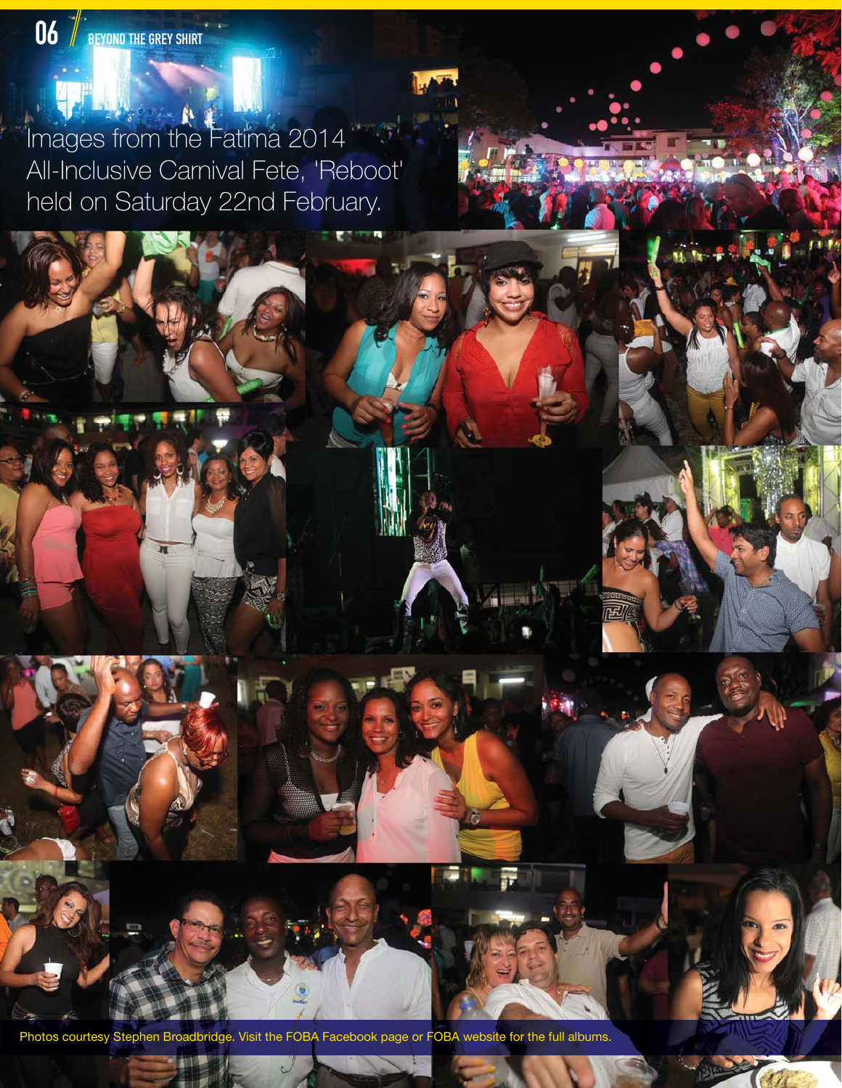Images from the Fatima 2014 All-Inclusive Carnival Fete, 'Reboot' held on Saturday 22nd February.

Visit the FOBA Facebook page or FOBA website for the full albums.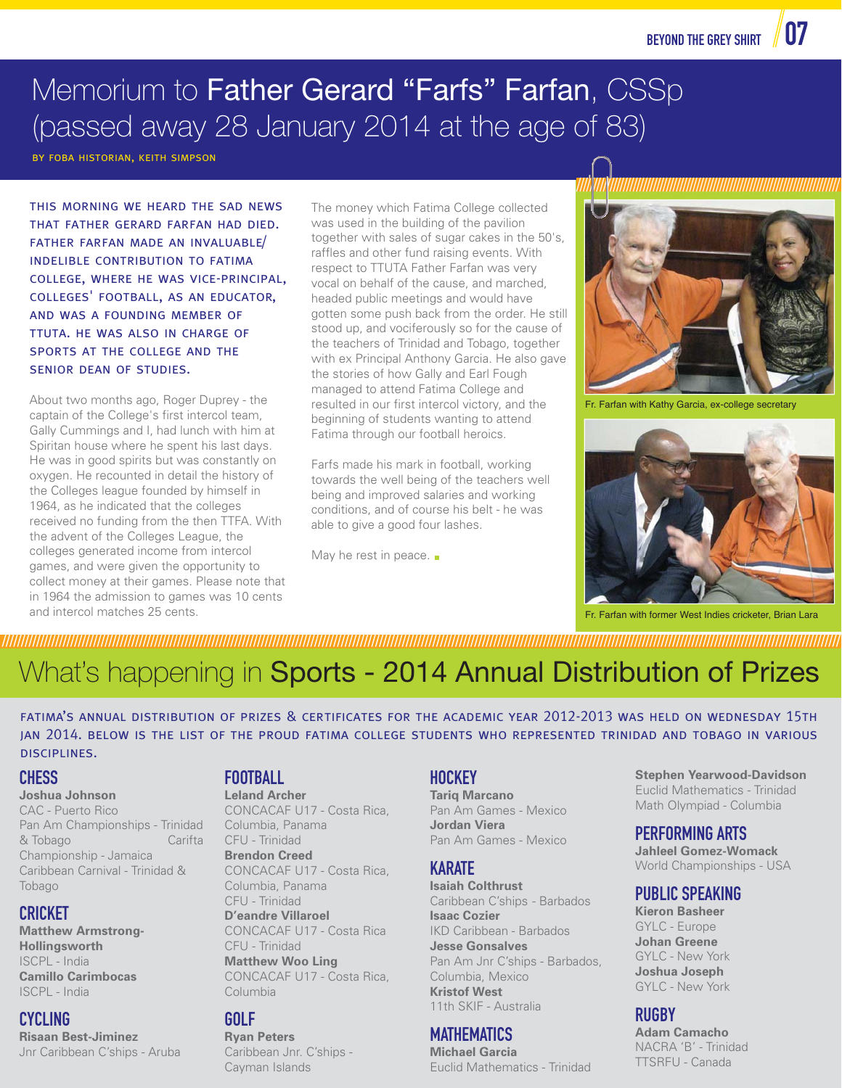## Memorium to Father Gerard "Farfs" Farfan, CSSp (passed away 28 January 2014 at the age of 83)

by foba historian, keith simpson

this morning we heard the sad news that father gerard farfan had died. father farfan made an invaluable/ indelible contribution to fatima college, where he was vice-principal, colleges' football, as an educator, and was a founding member of ttuta. he was also in charge of sports at the college and the senior dean of studies.

About two months ago, Roger Duprey - the captain of the College's first intercol team, Gally Cummings and I, had lunch with him at Spiritan house where he spent his last days. He was in good spirits but was constantly on oxygen. He recounted in detail the history of the Colleges league founded by himself in 1964, as he indicated that the colleges received no funding from the then TTFA. With the advent of the Colleges League, the colleges generated income from intercol games, and were given the opportunity to collect money at their games. Please note that in 1964 the admission to games was 10 cents and intercol matches 25 cents.

The money which Fatima College collected was used in the building of the pavilion together with sales of sugar cakes in the 50's, raffles and other fund raising events. With respect to TTUTA Father Farfan was very vocal on behalf of the cause, and marched, headed public meetings and would have gotten some push back from the order. He still stood up, and vociferously so for the cause of the teachers of Trinidad and Tobago, together with ex Principal Anthony Garcia. He also gave the stories of how Gally and Earl Fough managed to attend Fatima College and resulted in our first intercol victory, and the beginning of students wanting to attend Fatima through our football heroics.

Farfs made his mark in football, working towards the well being of the teachers well being and improved salaries and working conditions, and of course his belt - he was able to give a good four lashes.

May he rest in peace.  $\blacksquare$ 



Fr. Farfan with Kathy Garcia, ex-college secretary



Fr. Farfan with former West Indies cricketer, Brian Lara

## //////////////////////////////////////////////////////////////////////////////////////////////////////////////////////////////////////////////////////////////////////////////////////////////////////////////////////////// What's happening in Sports - 2014 Annual Distribution of Prizes

fatima's annual distribution of prizes & certificates for the academic year 2012-2013 was held on wednesday 15th jan 2014. below is the list of the proud fatima college students who represented trinidad and tobago in various disciplines.

## **CHESS**

## **Joshua Johnson**

CAC - Puerto Rico Pan Am Championships - Trinidad & Tobago Carifta Championship - Jamaica Caribbean Carnival - Trinidad & Tobago

## CRICKET

**Matthew Armstrong-Hollingsworth** ISCPL - India **Camillo Carimbocas** ISCPL - India

## CYCLING

**Risaan Best-Jiminez** Jnr Caribbean C'ships - Aruba

## **FOOTBALL**

**Leland Archer** CONCACAF U17 - Costa Rica, Columbia, Panama CFU - Trinidad **Brendon Creed** CONCACAF U17 - Costa Rica, Columbia, Panama CFU - Trinidad **D'eandre Villaroel** CONCACAF U17 - Costa Rica CFU - Trinidad

**Matthew Woo Ling** CONCACAF U17 - Costa Rica, Columbia

## GOLF

**Ryan Peters** Caribbean Jnr. C'ships - Cayman Islands

## **HOCKEY**

**Tariq Marcano** Pan Am Games - Mexico **Jordan Viera** Pan Am Games - Mexico

## **KARATE**

**Isaiah Colthrust**  Caribbean C'ships - Barbados **Isaac Cozier** IKD Caribbean - Barbados **Jesse Gonsalves** Pan Am Jnr C'ships - Barbados, Columbia, Mexico **Kristof West** 11th SKIF - Australia

## **MATHEMATICS**

**Michael Garcia** Euclid Mathematics - Trinidad

**Stephen Yearwood-Davidson** Euclid Mathematics - Trinidad Math Olympiad - Columbia

## PERFORMING ARTS

**Jahleel Gomez-Womack** World Championships - USA

## PUBLIC SPEAKING

**Kieron Basheer** GYLC - Europe **Johan Greene** GYLC - New York **Joshua Joseph** GYLC - New York

## RUGBY

**Adam Camacho** NACRA 'B' - Trinidad TTSRFU - Canada